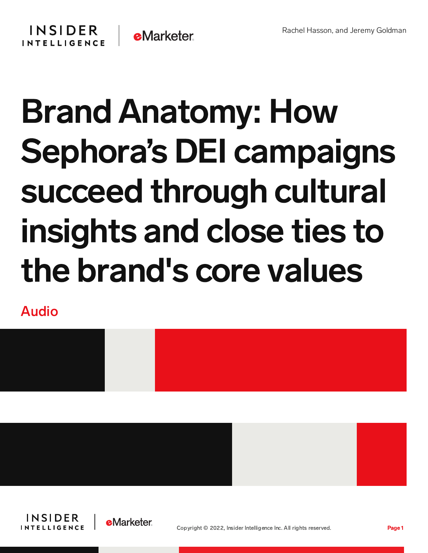## **INSIDER e**Marketer **INTELLIGENCE**

## Brand Anatomy: How Sephora's DEI campaigns succeed through cultural insights and close ties to the brand's core values

Audio









Copyright © 2022, Insider Intelligence Inc. All rights reserved. Page 1